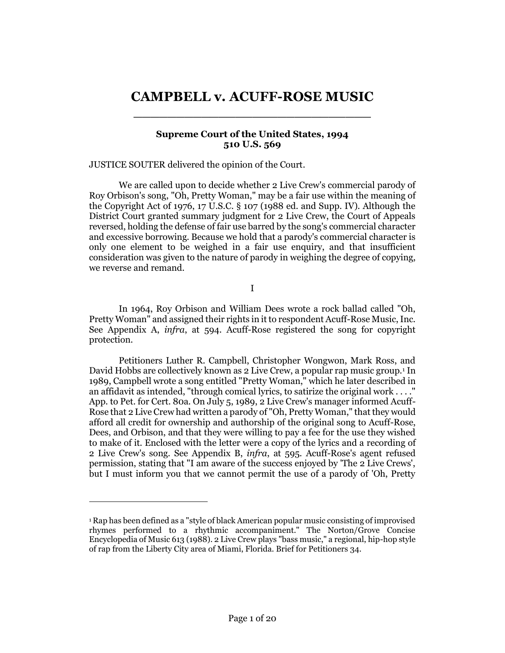# **CAMPBELL v. ACUFF-ROSE MUSIC** \_\_\_\_\_\_\_\_\_\_\_\_\_\_\_\_\_\_\_\_\_\_\_\_\_\_\_\_

# **Supreme Court of the United States, 1994 510 U.S. 569**

### JUSTICE SOUTER delivered the opinion of the Court.

We are called upon to decide whether 2 Live Crew's commercial parody of Roy Orbison's song, "Oh, Pretty Woman," may be a fair use within the meaning of the Copyright Act of 1976, 17 U.S.C. § 107 (1988 ed. and Supp. IV). Although the District Court granted summary judgment for 2 Live Crew, the Court of Appeals reversed, holding the defense of fair use barred by the song's commercial character and excessive borrowing. Because we hold that a parody's commercial character is only one element to be weighed in a fair use enquiry, and that insufficient consideration was given to the nature of parody in weighing the degree of copying, we reverse and remand.

I

In 1964, Roy Orbison and William Dees wrote a rock ballad called "Oh, Pretty Woman" and assigned their rights in it to respondent Acuff-Rose Music, Inc. See Appendix A, *infra*, at 594. Acuff-Rose registered the song for copyright protection.

Petitioners Luther R. Campbell, Christopher Wongwon, Mark Ross, and David Hobbs are collectively known as 2 Live Crew, a popular rap music group.<sup>1</sup> In 1989, Campbell wrote a song entitled "Pretty Woman," which he later described in an affidavit as intended, "through comical lyrics, to satirize the original work . . . ." App. to Pet. for Cert. 80a. On July 5, 1989, 2 Live Crew's manager informed Acuff-Rose that 2 Live Crew had written a parody of "Oh, Pretty Woman," that they would afford all credit for ownership and authorship of the original song to Acuff-Rose, Dees, and Orbison, and that they were willing to pay a fee for the use they wished to make of it. Enclosed with the letter were a copy of the lyrics and a recording of 2 Live Crew's song. See Appendix B, *infra*, at 595. Acuff-Rose's agent refused permission, stating that "I am aware of the success enjoyed by 'The 2 Live Crews', but I must inform you that we cannot permit the use of a parody of 'Oh, Pretty

<sup>1</sup> Rap has been defined as a "style of black American popular music consisting of improvised rhymes performed to a rhythmic accompaniment." The Norton/Grove Concise Encyclopedia of Music 613 (1988). 2 Live Crew plays "bass music," a regional, hip-hop style of rap from the Liberty City area of Miami, Florida. Brief for Petitioners 34.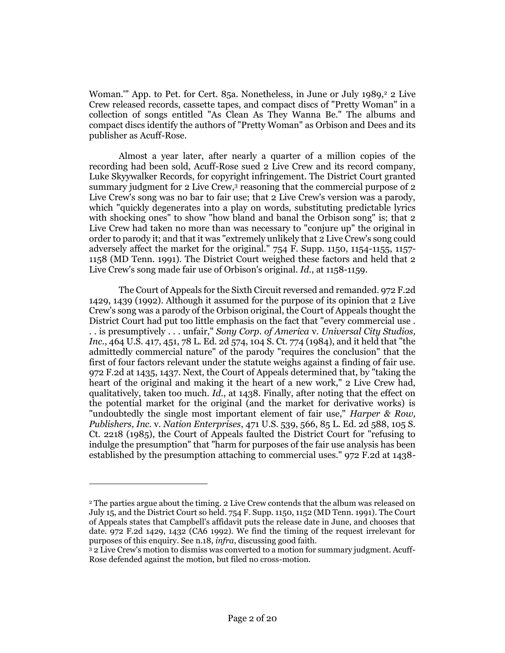Woman.'" App. to Pet. for Cert. 85a. Nonetheless, in June or July 1989,<sup>2</sup> 2 Live Crew released records, cassette tapes, and compact discs of "Pretty Woman" in a collection of songs entitled "As Clean As They Wanna Be." The albums and compact discs identify the authors of "Pretty Woman" as Orbison and Dees and its publisher as Acuff-Rose.

Almost a year later, after nearly a quarter of a million copies of the recording had been sold, Acuff-Rose sued 2 Live Crew and its record company, Luke Skyywalker Records, for copyright infringement. The District Court granted summary judgment for 2 Live Crew,<sup>3</sup> reasoning that the commercial purpose of 2 Live Crew's song was no bar to fair use; that 2 Live Crew's version was a parody, which "quickly degenerates into a play on words, substituting predictable lyrics with shocking ones" to show "how bland and banal the Orbison song" is; that 2 Live Crew had taken no more than was necessary to "conjure up" the original in order to parody it; and that it was "extremely unlikely that 2 Live Crew's song could adversely affect the market for the original." 754 F. Supp. 1150, 1154-1155, 1157- 1158 (MD Tenn. 1991). The District Court weighed these factors and held that 2 Live Crew's song made fair use of Orbison's original. *Id.*, at 1158-1159.

The Court of Appeals for the Sixth Circuit reversed and remanded. 972 F.2d 1429, 1439 (1992). Although it assumed for the purpose of its opinion that 2 Live Crew's song was a parody of the Orbison original, the Court of Appeals thought the District Court had put too little emphasis on the fact that "every commercial use . . . is presumptively . . . unfair," *Sony Corp. of America* v. *Universal City Studios, Inc.*, 464 U.S. 417, 451, 78 L. Ed. 2d 574, 104 S. Ct. 774 (1984), and it held that "the admittedly commercial nature" of the parody "requires the conclusion" that the first of four factors relevant under the statute weighs against a finding of fair use. 972 F.2d at 1435, 1437. Next, the Court of Appeals determined that, by "taking the heart of the original and making it the heart of a new work," 2 Live Crew had, qualitatively, taken too much. *Id.*, at 1438. Finally, after noting that the effect on the potential market for the original (and the market for derivative works) is "undoubtedly the single most important element of fair use," *Harper & Row, Publishers, Inc.* v. *Nation Enterprises*, 471 U.S. 539, 566, 85 L. Ed. 2d 588, 105 S. Ct. 2218 (1985), the Court of Appeals faulted the District Court for "refusing to indulge the presumption" that "harm for purposes of the fair use analysis has been established by the presumption attaching to commercial uses." 972 F.2d at 1438-

l

<sup>2</sup> The parties argue about the timing. 2 Live Crew contends that the album was released on July 15, and the District Court so held. 754 F. Supp. 1150, 1152 (MD Tenn. 1991). The Court of Appeals states that Campbell's affidavit puts the release date in June, and chooses that date. 972 F.2d 1429, 1432 (CA6 1992). We find the timing of the request irrelevant for purposes of this enquiry. See n.18, *infra*, discussing good faith.

<sup>&</sup>lt;sup>3</sup> 2 Live Crew's motion to dismiss was converted to a motion for summary judgment. Acuff-Rose defended against the motion, but filed no cross-motion.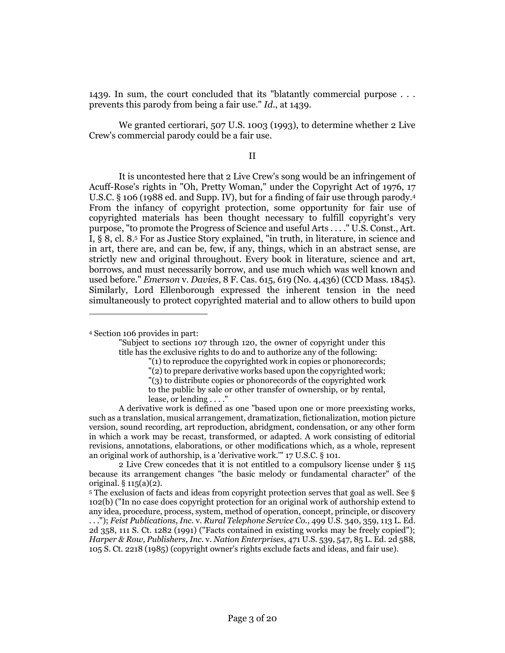1439. In sum, the court concluded that its "blatantly commercial purpose . . . prevents this parody from being a fair use." *Id.*, at 1439.

We granted certiorari, 507 U.S. 1003 (1993), to determine whether 2 Live Crew's commercial parody could be a fair use.

#### II

It is uncontested here that 2 Live Crew's song would be an infringement of Acuff-Rose's rights in "Oh, Pretty Woman," under the Copyright Act of 1976, 17 U.S.C. § 106 (1988 ed. and Supp. IV), but for a finding of fair use through parody.<sup>4</sup> From the infancy of copyright protection, some opportunity for fair use of copyrighted materials has been thought necessary to fulfill copyright's very purpose, "to promote the Progress of Science and useful Arts . . . ." U.S. Const., Art. I, § 8, cl. 8.<sup>5</sup> For as Justice Story explained, "in truth, in literature, in science and in art, there are, and can be, few, if any, things, which in an abstract sense, are strictly new and original throughout. Every book in literature, science and art, borrows, and must necessarily borrow, and use much which was well known and used before." *Emerson* v. *Davies*, 8 F. Cas. 615, 619 (No. 4,436) (CCD Mass. 1845). Similarly, Lord Ellenborough expressed the inherent tension in the need simultaneously to protect copyrighted material and to allow others to build upon

<sup>4</sup> Section 106 provides in part:

 $\overline{a}$ 

"Subject to sections 107 through 120, the owner of copyright under this title has the exclusive rights to do and to authorize any of the following:

"(1) to reproduce the copyrighted work in copies or phonorecords;

"(2) to prepare derivative works based upon the copyrighted work;

"(3) to distribute copies or phonorecords of the copyrighted work to the public by sale or other transfer of ownership, or by rental,

lease, or lending . . . ."

A derivative work is defined as one "based upon one or more preexisting works, such as a translation, musical arrangement, dramatization, fictionalization, motion picture version, sound recording, art reproduction, abridgment, condensation, or any other form in which a work may be recast, transformed, or adapted. A work consisting of editorial revisions, annotations, elaborations, or other modifications which, as a whole, represent an original work of authorship, is a 'derivative work.'" 17 U.S.C. § 101.

<sup>2</sup> Live Crew concedes that it is not entitled to a compulsory license under § 115 because its arrangement changes "the basic melody or fundamental character" of the original. § 115(a)(2).

<sup>5</sup> The exclusion of facts and ideas from copyright protection serves that goal as well. See § 102(b) ("In no case does copyright protection for an original work of authorship extend to any idea, procedure, process, system, method of operation, concept, principle, or discovery . . ."); *Feist Publications, Inc.* v. *Rural Telephone Service Co.*, 499 U.S. 340, 359, 113 L. Ed. 2d 358, 111 S. Ct. 1282 (1991) ("Facts contained in existing works may be freely copied"); *Harper & Row, Publishers, Inc.* v. *Nation Enterprises*, 471 U.S. 539, 547, 85 L. Ed. 2d 588, 105 S. Ct. 2218 (1985) (copyright owner's rights exclude facts and ideas, and fair use).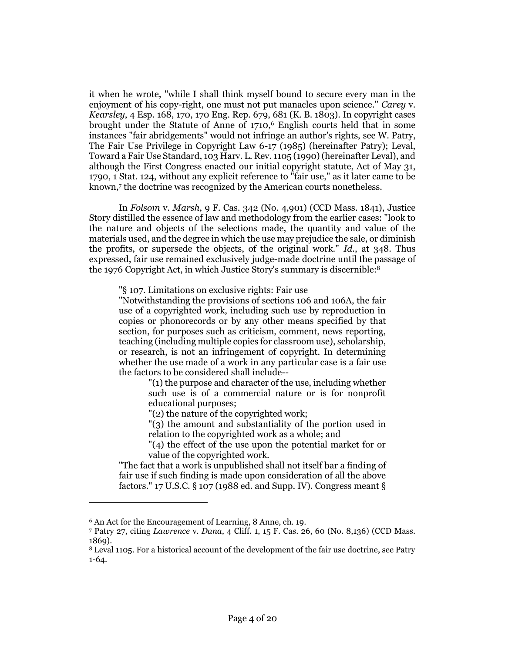it when he wrote, "while I shall think myself bound to secure every man in the enjoyment of his copy-right, one must not put manacles upon science." *Carey* v. *Kearsley*, 4 Esp. 168, 170, 170 Eng. Rep. 679, 681 (K. B. 1803). In copyright cases brought under the Statute of Anne of  $1710<sub>6</sub>$  English courts held that in some instances "fair abridgements" would not infringe an author's rights, see W. Patry, The Fair Use Privilege in Copyright Law 6-17 (1985) (hereinafter Patry); Leval, Toward a Fair Use Standard, 103 Harv. L. Rev. 1105 (1990) (hereinafter Leval), and although the First Congress enacted our initial copyright statute, Act of May 31, 1790, 1 Stat. 124, without any explicit reference to "fair use," as it later came to be known,<sup>7</sup> the doctrine was recognized by the American courts nonetheless.

In *Folsom* v. *Marsh*, 9 F. Cas. 342 (No. 4,901) (CCD Mass. 1841), Justice Story distilled the essence of law and methodology from the earlier cases: "look to the nature and objects of the selections made, the quantity and value of the materials used, and the degree in which the use may prejudice the sale, or diminish the profits, or supersede the objects, of the original work." *Id.*, at 348. Thus expressed, fair use remained exclusively judge-made doctrine until the passage of the 1976 Copyright Act, in which Justice Story's summary is discernible:<sup>8</sup>

"§ 107. Limitations on exclusive rights: Fair use

"Notwithstanding the provisions of sections 106 and 106A, the fair use of a copyrighted work, including such use by reproduction in copies or phonorecords or by any other means specified by that section, for purposes such as criticism, comment, news reporting, teaching (including multiple copies for classroom use), scholarship, or research, is not an infringement of copyright. In determining whether the use made of a work in any particular case is a fair use the factors to be considered shall include--

> "(1) the purpose and character of the use, including whether such use is of a commercial nature or is for nonprofit educational purposes;

"(2) the nature of the copyrighted work;

"(3) the amount and substantiality of the portion used in relation to the copyrighted work as a whole; and

"(4) the effect of the use upon the potential market for or value of the copyrighted work.

"The fact that a work is unpublished shall not itself bar a finding of fair use if such finding is made upon consideration of all the above factors." 17 U.S.C.  $\S$  107 (1988 ed. and Supp. IV). Congress meant  $\S$ 

<sup>6</sup> An Act for the Encouragement of Learning, 8 Anne, ch. 19.

<sup>7</sup> Patry 27, citing *Lawrence* v. *Dana*, 4 Cliff. 1, 15 F. Cas. 26, 60 (No. 8,136) (CCD Mass. 1869).

<sup>8</sup> Leval 1105. For a historical account of the development of the fair use doctrine, see Patry 1-64.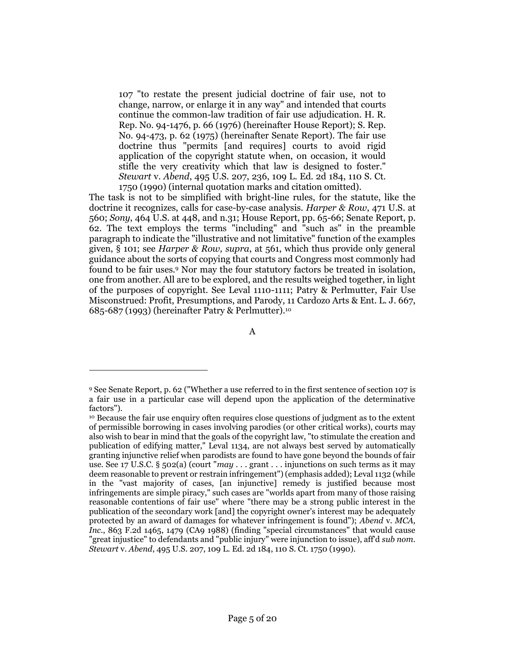107 "to restate the present judicial doctrine of fair use, not to change, narrow, or enlarge it in any way" and intended that courts continue the common-law tradition of fair use adjudication. H. R. Rep. No. 94-1476, p. 66 (1976) (hereinafter House Report); S. Rep. No. 94-473, p. 62 (1975) (hereinafter Senate Report). The fair use doctrine thus "permits [and requires] courts to avoid rigid application of the copyright statute when, on occasion, it would stifle the very creativity which that law is designed to foster." *Stewart* v. *Abend*, 495 U.S. 207, 236, 109 L. Ed. 2d 184, 110 S. Ct. 1750 (1990) (internal quotation marks and citation omitted).

The task is not to be simplified with bright-line rules, for the statute, like the doctrine it recognizes, calls for case-by-case analysis. *Harper & Row*, 471 U.S. at 560; *Sony*, 464 U.S. at 448, and n.31; House Report, pp. 65-66; Senate Report, p. 62. The text employs the terms "including" and "such as" in the preamble paragraph to indicate the "illustrative and not limitative" function of the examples given, § 101; see *Harper & Row, supra*, at 561, which thus provide only general guidance about the sorts of copying that courts and Congress most commonly had found to be fair uses.<sup>9</sup> Nor may the four statutory factors be treated in isolation, one from another. All are to be explored, and the results weighed together, in light of the purposes of copyright. See Leval 1110-1111; Patry & Perlmutter, Fair Use Misconstrued: Profit, Presumptions, and Parody, 11 Cardozo Arts & Ent. L. J. 667, 685-687 (1993) (hereinafter Patry & Perlmutter).<sup>10</sup>

A

<sup>9</sup> See Senate Report, p. 62 ("Whether a use referred to in the first sentence of section 107 is a fair use in a particular case will depend upon the application of the determinative factors").

<sup>10</sup> Because the fair use enquiry often requires close questions of judgment as to the extent of permissible borrowing in cases involving parodies (or other critical works), courts may also wish to bear in mind that the goals of the copyright law, "to stimulate the creation and publication of edifying matter," Leval 1134, are not always best served by automatically granting injunctive relief when parodists are found to have gone beyond the bounds of fair use. See 17 U.S.C. § 502(a) (court "*may* . . . grant . . . injunctions on such terms as it may deem reasonable to prevent or restrain infringement") (emphasis added); Leval 1132 (while in the "vast majority of cases, [an injunctive] remedy is justified because most infringements are simple piracy," such cases are "worlds apart from many of those raising reasonable contentions of fair use" where "there may be a strong public interest in the publication of the secondary work [and] the copyright owner's interest may be adequately protected by an award of damages for whatever infringement is found"); *Abend* v. *MCA, Inc.*, 863 F.2d 1465, 1479 (CA9 1988) (finding "special circumstances" that would cause "great injustice" to defendants and "public injury" were injunction to issue), aff'd *sub nom. Stewart* v. *Abend*, 495 U.S. 207, 109 L. Ed. 2d 184, 110 S. Ct. 1750 (1990).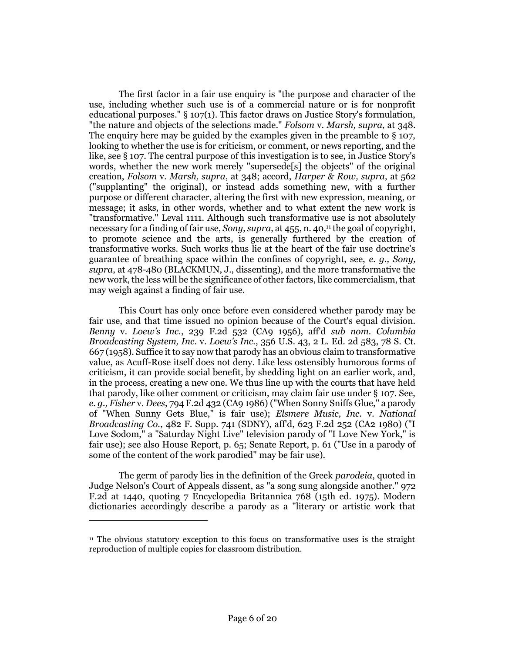The first factor in a fair use enquiry is "the purpose and character of the use, including whether such use is of a commercial nature or is for nonprofit educational purposes." § 107(1). This factor draws on Justice Story's formulation, "the nature and objects of the selections made." *Folsom* v. *Marsh, supra*, at 348. The enquiry here may be guided by the examples given in the preamble to § 107, looking to whether the use is for criticism, or comment, or news reporting, and the like, see § 107. The central purpose of this investigation is to see, in Justice Story's words, whether the new work merely "supersede[s] the objects" of the original creation, *Folsom* v. *Marsh, supra*, at 348; accord, *Harper & Row, supra*, at 562 ("supplanting" the original), or instead adds something new, with a further purpose or different character, altering the first with new expression, meaning, or message; it asks, in other words, whether and to what extent the new work is "transformative." Leval 1111. Although such transformative use is not absolutely necessary for a finding of fair use, *Sony, supra*, at 455, n. 40,<sup>11</sup> the goal of copyright, to promote science and the arts, is generally furthered by the creation of transformative works. Such works thus lie at the heart of the fair use doctrine's guarantee of breathing space within the confines of copyright, see, *e. g., Sony, supra*, at 478-480 (BLACKMUN, J., dissenting), and the more transformative the new work, the less will be the significance of other factors, like commercialism, that may weigh against a finding of fair use.

This Court has only once before even considered whether parody may be fair use, and that time issued no opinion because of the Court's equal division. *Benny* v. *Loew's Inc.*, 239 F.2d 532 (CA9 1956), aff'd *sub nom. Columbia Broadcasting System, Inc.* v. *Loew's Inc.*, 356 U.S. 43, 2 L. Ed. 2d 583, 78 S. Ct. 667 (1958). Suffice it to say now that parody has an obvious claim to transformative value, as Acuff-Rose itself does not deny. Like less ostensibly humorous forms of criticism, it can provide social benefit, by shedding light on an earlier work, and, in the process, creating a new one. We thus line up with the courts that have held that parody, like other comment or criticism, may claim fair use under § 107. See, *e. g., Fisher* v. *Dees*, 794 F.2d 432 (CA9 1986) ("When Sonny Sniffs Glue," a parody of "When Sunny Gets Blue," is fair use); *Elsmere Music, Inc.* v. *National Broadcasting Co.*, 482 F. Supp. 741 (SDNY), aff'd, 623 F.2d 252 (CA2 1980) ("I Love Sodom," a "Saturday Night Live" television parody of "I Love New York," is fair use); see also House Report, p. 65; Senate Report, p. 61 ("Use in a parody of some of the content of the work parodied" may be fair use).

The germ of parody lies in the definition of the Greek *parodeia*, quoted in Judge Nelson's Court of Appeals dissent, as "a song sung alongside another." 972 F.2d at 1440, quoting 7 Encyclopedia Britannica 768 (15th ed. 1975). Modern dictionaries accordingly describe a parody as a "literary or artistic work that

 $11$  The obvious statutory exception to this focus on transformative uses is the straight reproduction of multiple copies for classroom distribution.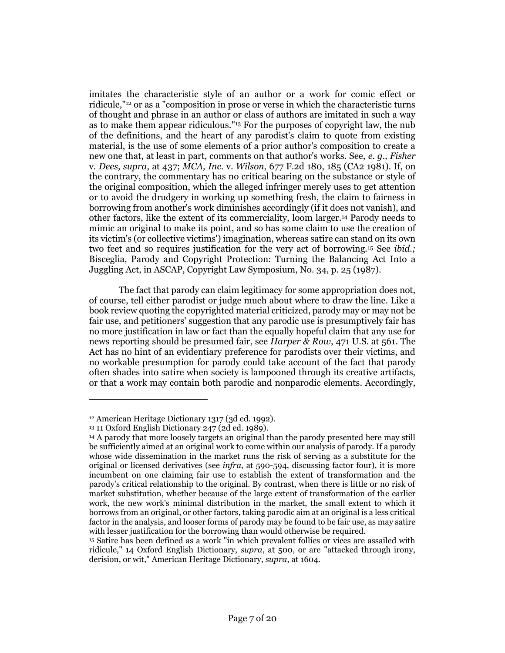imitates the characteristic style of an author or a work for comic effect or ridicule,"<sup>12</sup> or as a "composition in prose or verse in which the characteristic turns of thought and phrase in an author or class of authors are imitated in such a way as to make them appear ridiculous."<sup>13</sup> For the purposes of copyright law, the nub of the definitions, and the heart of any parodist's claim to quote from existing material, is the use of some elements of a prior author's composition to create a new one that, at least in part, comments on that author's works. See, *e. g., Fisher* v. *Dees, supra*, at 437; *MCA, Inc.* v. *Wilson*, 677 F.2d 180, 185 (CA2 1981). If, on the contrary, the commentary has no critical bearing on the substance or style of the original composition, which the alleged infringer merely uses to get attention or to avoid the drudgery in working up something fresh, the claim to fairness in borrowing from another's work diminishes accordingly (if it does not vanish), and other factors, like the extent of its commerciality, loom larger.<sup>14</sup> Parody needs to mimic an original to make its point, and so has some claim to use the creation of its victim's (or collective victims') imagination, whereas satire can stand on its own two feet and so requires justification for the very act of borrowing.<sup>15</sup> See *ibid.;* Bisceglia, Parody and Copyright Protection: Turning the Balancing Act Into a Juggling Act, in ASCAP, Copyright Law Symposium, No. 34, p. 25 (1987).

The fact that parody can claim legitimacy for some appropriation does not, of course, tell either parodist or judge much about where to draw the line. Like a book review quoting the copyrighted material criticized, parody may or may not be fair use, and petitioners' suggestion that any parodic use is presumptively fair has no more justification in law or fact than the equally hopeful claim that any use for news reporting should be presumed fair, see *Harper & Row*, 471 U.S. at 561. The Act has no hint of an evidentiary preference for parodists over their victims, and no workable presumption for parody could take account of the fact that parody often shades into satire when society is lampooned through its creative artifacts, or that a work may contain both parodic and nonparodic elements. Accordingly,

<sup>12</sup> American Heritage Dictionary 1317 (3d ed. 1992).

<sup>13</sup> 11 Oxford English Dictionary 247 (2d ed. 1989).

<sup>&</sup>lt;sup>14</sup> A parody that more loosely targets an original than the parody presented here may still be sufficiently aimed at an original work to come within our analysis of parody. If a parody whose wide dissemination in the market runs the risk of serving as a substitute for the original or licensed derivatives (see *infra*, at 590-594, discussing factor four), it is more incumbent on one claiming fair use to establish the extent of transformation and the parody's critical relationship to the original. By contrast, when there is little or no risk of market substitution, whether because of the large extent of transformation of the earlier work, the new work's minimal distribution in the market, the small extent to which it borrows from an original, or other factors, taking parodic aim at an original is a less critical factor in the analysis, and looser forms of parody may be found to be fair use, as may satire with lesser justification for the borrowing than would otherwise be required.

<sup>15</sup> Satire has been defined as a work "in which prevalent follies or vices are assailed with ridicule," 14 Oxford English Dictionary, *supra*, at 500, or are "attacked through irony, derision, or wit," American Heritage Dictionary, *supra*, at 1604.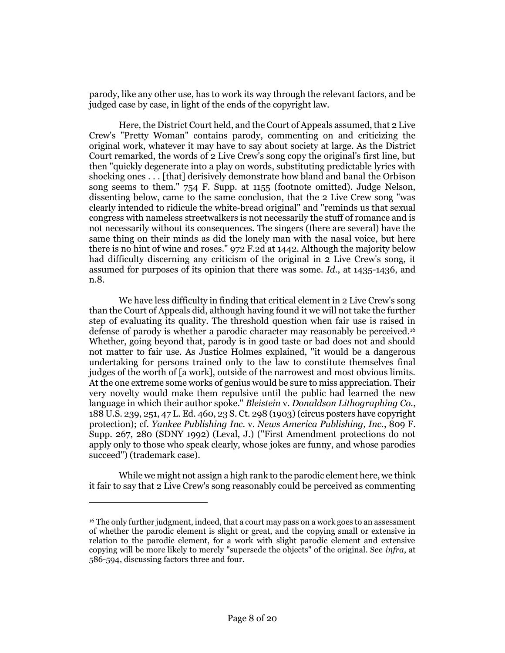parody, like any other use, has to work its way through the relevant factors, and be judged case by case, in light of the ends of the copyright law.

Here, the District Court held, and the Court of Appeals assumed, that 2 Live Crew's "Pretty Woman" contains parody, commenting on and criticizing the original work, whatever it may have to say about society at large. As the District Court remarked, the words of 2 Live Crew's song copy the original's first line, but then "quickly degenerate into a play on words, substituting predictable lyrics with shocking ones . . . [that] derisively demonstrate how bland and banal the Orbison song seems to them." 754 F. Supp. at 1155 (footnote omitted). Judge Nelson, dissenting below, came to the same conclusion, that the 2 Live Crew song "was clearly intended to ridicule the white-bread original" and "reminds us that sexual congress with nameless streetwalkers is not necessarily the stuff of romance and is not necessarily without its consequences. The singers (there are several) have the same thing on their minds as did the lonely man with the nasal voice, but here there is no hint of wine and roses." 972 F.2d at 1442. Although the majority below had difficulty discerning any criticism of the original in 2 Live Crew's song, it assumed for purposes of its opinion that there was some. *Id.*, at 1435-1436, and n.8.

We have less difficulty in finding that critical element in 2 Live Crew's song than the Court of Appeals did, although having found it we will not take the further step of evaluating its quality. The threshold question when fair use is raised in defense of parody is whether a parodic character may reasonably be perceived.<sup>16</sup> Whether, going beyond that, parody is in good taste or bad does not and should not matter to fair use. As Justice Holmes explained, "it would be a dangerous undertaking for persons trained only to the law to constitute themselves final judges of the worth of [a work], outside of the narrowest and most obvious limits. At the one extreme some works of genius would be sure to miss appreciation. Their very novelty would make them repulsive until the public had learned the new language in which their author spoke." *Bleistein* v. *Donaldson Lithographing Co.*, 188 U.S. 239, 251, 47 L. Ed. 460, 23 S. Ct. 298 (1903) (circus posters have copyright protection); cf. *Yankee Publishing Inc.* v. *News America Publishing, Inc.*, 809 F. Supp. 267, 280 (SDNY 1992) (Leval, J.) ("First Amendment protections do not apply only to those who speak clearly, whose jokes are funny, and whose parodies succeed") (trademark case).

While we might not assign a high rank to the parodic element here, we think it fair to say that 2 Live Crew's song reasonably could be perceived as commenting

<sup>&</sup>lt;sup>16</sup> The only further judgment, indeed, that a court may pass on a work goes to an assessment of whether the parodic element is slight or great, and the copying small or extensive in relation to the parodic element, for a work with slight parodic element and extensive copying will be more likely to merely "supersede the objects" of the original. See *infra*, at 586-594, discussing factors three and four.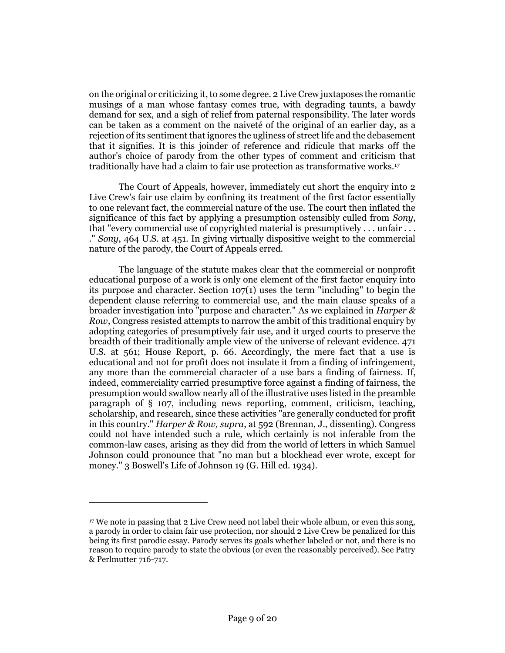on the original or criticizing it, to some degree. 2 Live Crew juxtaposes the romantic musings of a man whose fantasy comes true, with degrading taunts, a bawdy demand for sex, and a sigh of relief from paternal responsibility. The later words can be taken as a comment on the naiveté of the original of an earlier day, as a rejection of its sentiment that ignores the ugliness of street life and the debasement that it signifies. It is this joinder of reference and ridicule that marks off the author's choice of parody from the other types of comment and criticism that traditionally have had a claim to fair use protection as transformative works.<sup>17</sup>

The Court of Appeals, however, immediately cut short the enquiry into 2 Live Crew's fair use claim by confining its treatment of the first factor essentially to one relevant fact, the commercial nature of the use. The court then inflated the significance of this fact by applying a presumption ostensibly culled from *Sony*, that "every commercial use of copyrighted material is presumptively . . . unfair . . . ." *Sony*, 464 U.S. at 451. In giving virtually dispositive weight to the commercial nature of the parody, the Court of Appeals erred.

The language of the statute makes clear that the commercial or nonprofit educational purpose of a work is only one element of the first factor enquiry into its purpose and character. Section 107(1) uses the term "including" to begin the dependent clause referring to commercial use, and the main clause speaks of a broader investigation into "purpose and character." As we explained in *Harper & Row*, Congress resisted attempts to narrow the ambit of this traditional enquiry by adopting categories of presumptively fair use, and it urged courts to preserve the breadth of their traditionally ample view of the universe of relevant evidence. 471 U.S. at 561; House Report, p. 66. Accordingly, the mere fact that a use is educational and not for profit does not insulate it from a finding of infringement, any more than the commercial character of a use bars a finding of fairness. If, indeed, commerciality carried presumptive force against a finding of fairness, the presumption would swallow nearly all of the illustrative uses listed in the preamble paragraph of § 107, including news reporting, comment, criticism, teaching, scholarship, and research, since these activities "are generally conducted for profit in this country." *Harper & Row, supra*, at 592 (Brennan, J., dissenting). Congress could not have intended such a rule, which certainly is not inferable from the common-law cases, arising as they did from the world of letters in which Samuel Johnson could pronounce that "no man but a blockhead ever wrote, except for money." 3 Boswell's Life of Johnson 19 (G. Hill ed. 1934).

<sup>17</sup> We note in passing that 2 Live Crew need not label their whole album, or even this song, a parody in order to claim fair use protection, nor should 2 Live Crew be penalized for this being its first parodic essay. Parody serves its goals whether labeled or not, and there is no reason to require parody to state the obvious (or even the reasonably perceived). See Patry & Perlmutter 716-717.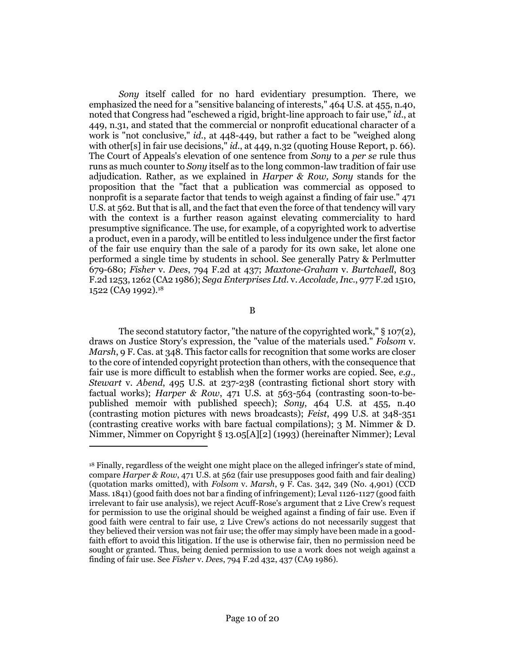*Sony* itself called for no hard evidentiary presumption. There, we emphasized the need for a "sensitive balancing of interests," 464 U.S. at 455, n.40, noted that Congress had "eschewed a rigid, bright-line approach to fair use," *id.*, at 449, n.31, and stated that the commercial or nonprofit educational character of a work is "not conclusive," *id.*, at 448-449, but rather a fact to be "weighed along with other<sup>[s]</sup> in fair use decisions," *id.*, at 449, n.32 (quoting House Report, p. 66). The Court of Appeals's elevation of one sentence from *Sony* to a *per se* rule thus runs as much counter to *Sony* itself as to the long common-law tradition of fair use adjudication. Rather, as we explained in *Harper & Row, Sony* stands for the proposition that the "fact that a publication was commercial as opposed to nonprofit is a separate factor that tends to weigh against a finding of fair use." 471 U.S. at 562. But that is all, and the fact that even the force of that tendency will vary with the context is a further reason against elevating commerciality to hard presumptive significance. The use, for example, of a copyrighted work to advertise a product, even in a parody, will be entitled to less indulgence under the first factor of the fair use enquiry than the sale of a parody for its own sake, let alone one performed a single time by students in school. See generally Patry & Perlmutter 679-680; *Fisher* v. *Dees*, 794 F.2d at 437; *Maxtone-Graham* v. *Burtchaell*, 803 F.2d 1253, 1262 (CA2 1986); *Sega Enterprises Ltd.* v. *Accolade, Inc.*, 977 F.2d 1510, 1522 (CA9 1992).<sup>18</sup>

B

The second statutory factor, "the nature of the copyrighted work," § 107(2), draws on Justice Story's expression, the "value of the materials used." *Folsom* v. *Marsh*, 9 F. Cas. at 348. This factor calls for recognition that some works are closer to the core of intended copyright protection than others, with the consequence that fair use is more difficult to establish when the former works are copied. See, *e.g., Stewart* v. *Abend*, 495 U.S. at 237-238 (contrasting fictional short story with factual works); *Harper & Row*, 471 U.S. at 563-564 (contrasting soon-to-bepublished memoir with published speech); *Sony*, 464 U.S. at 455, n.40 (contrasting motion pictures with news broadcasts); *Feist*, 499 U.S. at 348-351 (contrasting creative works with bare factual compilations); 3 M. Nimmer & D. Nimmer, Nimmer on Copyright § 13.05[A][2] (1993) (hereinafter Nimmer); Leval

 $18$  Finally, regardless of the weight one might place on the alleged infringer's state of mind, compare *Harper & Row*, 471 U.S. at 562 (fair use presupposes good faith and fair dealing) (quotation marks omitted), with *Folsom* v. *Marsh*, 9 F. Cas. 342, 349 (No. 4,901) (CCD Mass. 1841) (good faith does not bar a finding of infringement); Leval 1126-1127 (good faith irrelevant to fair use analysis), we reject Acuff-Rose's argument that 2 Live Crew's request for permission to use the original should be weighed against a finding of fair use. Even if good faith were central to fair use, 2 Live Crew's actions do not necessarily suggest that they believed their version was not fair use; the offer may simply have been made in a goodfaith effort to avoid this litigation. If the use is otherwise fair, then no permission need be sought or granted. Thus, being denied permission to use a work does not weigh against a finding of fair use. See *Fisher* v. *Dees*, 794 F.2d 432, 437 (CA9 1986).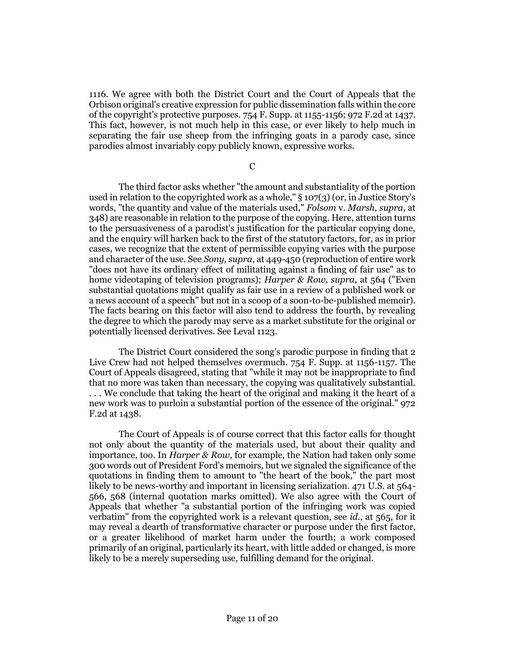1116. We agree with both the District Court and the Court of Appeals that the Orbison original's creative expression for public dissemination falls within the core of the copyright's protective purposes. 754 F. Supp. at 1155-1156; 972 F.2d at 1437. This fact, however, is not much help in this case, or ever likely to help much in separating the fair use sheep from the infringing goats in a parody case, since parodies almost invariably copy publicly known, expressive works.

 $\mathcal{C}$ 

The third factor asks whether "the amount and substantiality of the portion used in relation to the copyrighted work as a whole," § 107(3) (or, in Justice Story's words, "the quantity and value of the materials used," *Folsom* v. *Marsh, supra*, at 348) are reasonable in relation to the purpose of the copying. Here, attention turns to the persuasiveness of a parodist's justification for the particular copying done, and the enquiry will harken back to the first of the statutory factors, for, as in prior cases, we recognize that the extent of permissible copying varies with the purpose and character of the use. See *Sony, supra*, at 449-450 (reproduction of entire work "does not have its ordinary effect of militating against a finding of fair use" as to home videotaping of television programs); *Harper & Row, supra*, at 564 ("Even substantial quotations might qualify as fair use in a review of a published work or a news account of a speech" but not in a scoop of a soon-to-be-published memoir). The facts bearing on this factor will also tend to address the fourth, by revealing the degree to which the parody may serve as a market substitute for the original or potentially licensed derivatives. See Leval 1123.

The District Court considered the song's parodic purpose in finding that 2 Live Crew had not helped themselves overmuch. 754 F. Supp. at 1156-1157. The Court of Appeals disagreed, stating that "while it may not be inappropriate to find that no more was taken than necessary, the copying was qualitatively substantial. . . . We conclude that taking the heart of the original and making it the heart of a new work was to purloin a substantial portion of the essence of the original." 972 F.2d at 1438.

The Court of Appeals is of course correct that this factor calls for thought not only about the quantity of the materials used, but about their quality and importance, too. In *Harper & Row*, for example, the Nation had taken only some 300 words out of President Ford's memoirs, but we signaled the significance of the quotations in finding them to amount to "the heart of the book," the part most likely to be news-worthy and important in licensing serialization. 471 U.S. at 564- 566, 568 (internal quotation marks omitted). We also agree with the Court of Appeals that whether "a substantial portion of the infringing work was copied verbatim" from the copyrighted work is a relevant question, see *id.*, at 565, for it may reveal a dearth of transformative character or purpose under the first factor, or a greater likelihood of market harm under the fourth; a work composed primarily of an original, particularly its heart, with little added or changed, is more likely to be a merely superseding use, fulfilling demand for the original.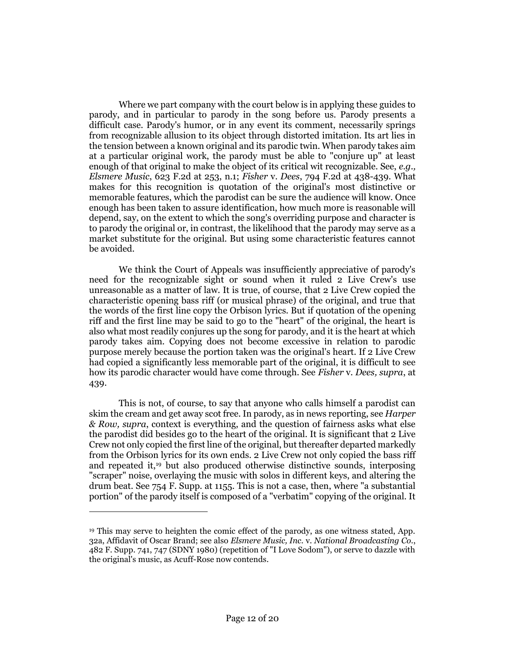Where we part company with the court below is in applying these guides to parody, and in particular to parody in the song before us. Parody presents a difficult case. Parody's humor, or in any event its comment, necessarily springs from recognizable allusion to its object through distorted imitation. Its art lies in the tension between a known original and its parodic twin. When parody takes aim at a particular original work, the parody must be able to "conjure up" at least enough of that original to make the object of its critical wit recognizable. See, *e.g., Elsmere Music*, 623 F.2d at 253, n.1; *Fisher* v. *Dees*, 794 F.2d at 438-439. What makes for this recognition is quotation of the original's most distinctive or memorable features, which the parodist can be sure the audience will know. Once enough has been taken to assure identification, how much more is reasonable will depend, say, on the extent to which the song's overriding purpose and character is to parody the original or, in contrast, the likelihood that the parody may serve as a market substitute for the original. But using some characteristic features cannot be avoided.

We think the Court of Appeals was insufficiently appreciative of parody's need for the recognizable sight or sound when it ruled 2 Live Crew's use unreasonable as a matter of law. It is true, of course, that 2 Live Crew copied the characteristic opening bass riff (or musical phrase) of the original, and true that the words of the first line copy the Orbison lyrics. But if quotation of the opening riff and the first line may be said to go to the "heart" of the original, the heart is also what most readily conjures up the song for parody, and it is the heart at which parody takes aim. Copying does not become excessive in relation to parodic purpose merely because the portion taken was the original's heart. If 2 Live Crew had copied a significantly less memorable part of the original, it is difficult to see how its parodic character would have come through. See *Fisher* v. *Dees, supra*, at 439.

This is not, of course, to say that anyone who calls himself a parodist can skim the cream and get away scot free. In parody, as in news reporting, see *Harper & Row, supra*, context is everything, and the question of fairness asks what else the parodist did besides go to the heart of the original. It is significant that 2 Live Crew not only copied the first line of the original, but thereafter departed markedly from the Orbison lyrics for its own ends. 2 Live Crew not only copied the bass riff and repeated it,<sup>19</sup> but also produced otherwise distinctive sounds, interposing "scraper" noise, overlaying the music with solos in different keys, and altering the drum beat. See 754 F. Supp. at 1155. This is not a case, then, where "a substantial portion" of the parody itself is composed of a "verbatim" copying of the original. It

<sup>19</sup> This may serve to heighten the comic effect of the parody, as one witness stated, App. 32a, Affidavit of Oscar Brand; see also *Elsmere Music, Inc.* v. *National Broadcasting Co.*, 482 F. Supp. 741, 747 (SDNY 1980) (repetition of "I Love Sodom"), or serve to dazzle with the original's music, as Acuff-Rose now contends.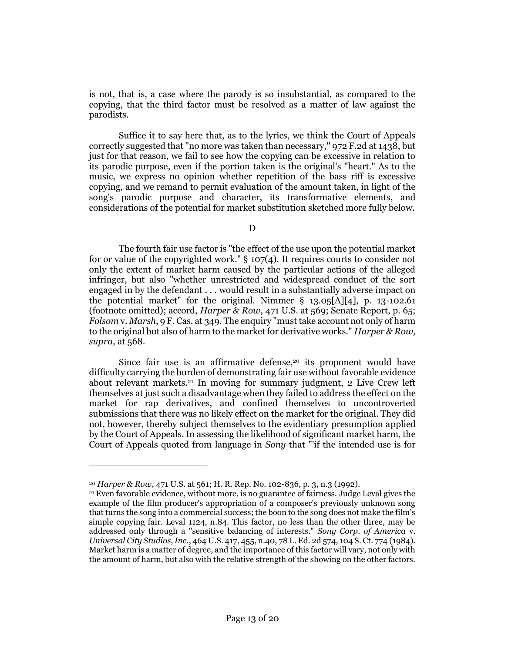is not, that is, a case where the parody is so insubstantial, as compared to the copying, that the third factor must be resolved as a matter of law against the parodists.

Suffice it to say here that, as to the lyrics, we think the Court of Appeals correctly suggested that "no more was taken than necessary," 972 F.2d at 1438, but just for that reason, we fail to see how the copying can be excessive in relation to its parodic purpose, even if the portion taken is the original's "heart." As to the music, we express no opinion whether repetition of the bass riff is excessive copying, and we remand to permit evaluation of the amount taken, in light of the song's parodic purpose and character, its transformative elements, and considerations of the potential for market substitution sketched more fully below.

D

The fourth fair use factor is "the effect of the use upon the potential market for or value of the copyrighted work." § 107(4). It requires courts to consider not only the extent of market harm caused by the particular actions of the alleged infringer, but also "whether unrestricted and widespread conduct of the sort engaged in by the defendant . . . would result in a substantially adverse impact on the potential market" for the original. Nimmer § 13.05[A][4], p. 13-102.61 (footnote omitted); accord, *Harper & Row*, 471 U.S. at 569; Senate Report, p. 65; *Folsom* v. *Marsh*, 9 F. Cas. at 349. The enquiry "must take account not only of harm to the original but also of harm to the market for derivative works." *Harper & Row, supra*, at 568.

Since fair use is an affirmative defense, $20$  its proponent would have difficulty carrying the burden of demonstrating fair use without favorable evidence about relevant markets.<sup>21</sup> In moving for summary judgment, 2 Live Crew left themselves at just such a disadvantage when they failed to address the effect on the market for rap derivatives, and confined themselves to uncontroverted submissions that there was no likely effect on the market for the original. They did not, however, thereby subject themselves to the evidentiary presumption applied by the Court of Appeals. In assessing the likelihood of significant market harm, the Court of Appeals quoted from language in *Sony* that "'if the intended use is for

<sup>20</sup> *Harper & Row*, 471 U.S. at 561; H. R. Rep. No. 102-836, p. 3, n.3 (1992).

<sup>21</sup> Even favorable evidence, without more, is no guarantee of fairness. Judge Leval gives the example of the film producer's appropriation of a composer's previously unknown song that turns the song into a commercial success; the boon to the song does not make the film's simple copying fair. Leval 1124, n.84. This factor, no less than the other three, may be addressed only through a "sensitive balancing of interests." *Sony Corp. of America* v. *Universal City Studios, Inc.*, 464 U.S. 417, 455, n.40, 78 L. Ed. 2d 574, 104 S. Ct. 774 (1984). Market harm is a matter of degree, and the importance of this factor will vary, not only with the amount of harm, but also with the relative strength of the showing on the other factors.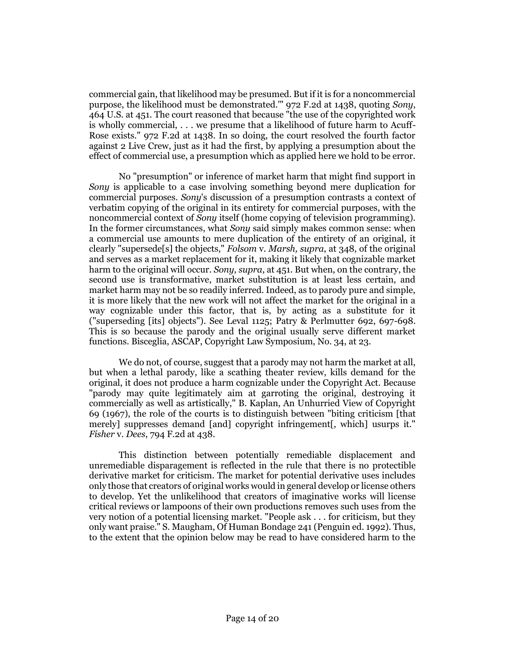commercial gain, that likelihood may be presumed. But if it is for a noncommercial purpose, the likelihood must be demonstrated.'" 972 F.2d at 1438, quoting *Sony*, 464 U.S. at 451. The court reasoned that because "the use of the copyrighted work is wholly commercial, . . . we presume that a likelihood of future harm to Acuff-Rose exists." 972 F.2d at 1438. In so doing, the court resolved the fourth factor against 2 Live Crew, just as it had the first, by applying a presumption about the effect of commercial use, a presumption which as applied here we hold to be error.

No "presumption" or inference of market harm that might find support in *Sony* is applicable to a case involving something beyond mere duplication for commercial purposes. *Sony*'s discussion of a presumption contrasts a context of verbatim copying of the original in its entirety for commercial purposes, with the noncommercial context of *Sony* itself (home copying of television programming). In the former circumstances, what *Sony* said simply makes common sense: when a commercial use amounts to mere duplication of the entirety of an original, it clearly "supersede[s] the objects," *Folsom* v. *Marsh, supra*, at 348, of the original and serves as a market replacement for it, making it likely that cognizable market harm to the original will occur. *Sony, supra*, at 451. But when, on the contrary, the second use is transformative, market substitution is at least less certain, and market harm may not be so readily inferred. Indeed, as to parody pure and simple, it is more likely that the new work will not affect the market for the original in a way cognizable under this factor, that is, by acting as a substitute for it ("superseding [its] objects"). See Leval 1125; Patry & Perlmutter 692, 697-698. This is so because the parody and the original usually serve different market functions. Bisceglia, ASCAP, Copyright Law Symposium, No. 34, at 23.

We do not, of course, suggest that a parody may not harm the market at all, but when a lethal parody, like a scathing theater review, kills demand for the original, it does not produce a harm cognizable under the Copyright Act. Because "parody may quite legitimately aim at garroting the original, destroying it commercially as well as artistically," B. Kaplan, An Unhurried View of Copyright 69 (1967), the role of the courts is to distinguish between "biting criticism [that merely] suppresses demand [and] copyright infringement[, which] usurps it." *Fisher* v. *Dees*, 794 F.2d at 438.

This distinction between potentially remediable displacement and unremediable disparagement is reflected in the rule that there is no protectible derivative market for criticism. The market for potential derivative uses includes only those that creators of original works would in general develop or license others to develop. Yet the unlikelihood that creators of imaginative works will license critical reviews or lampoons of their own productions removes such uses from the very notion of a potential licensing market. "People ask . . . for criticism, but they only want praise." S. Maugham, Of Human Bondage 241 (Penguin ed. 1992). Thus, to the extent that the opinion below may be read to have considered harm to the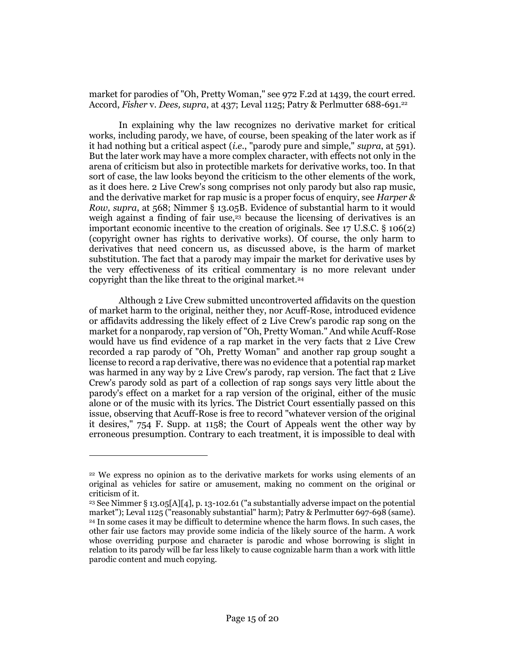market for parodies of "Oh, Pretty Woman," see 972 F.2d at 1439, the court erred. Accord, *Fisher* v. *Dees, supra*, at 437; Leval 1125; Patry & Perlmutter 688-691.<sup>22</sup>

In explaining why the law recognizes no derivative market for critical works, including parody, we have, of course, been speaking of the later work as if it had nothing but a critical aspect (*i.e.*, "parody pure and simple," *supra*, at 591). But the later work may have a more complex character, with effects not only in the arena of criticism but also in protectible markets for derivative works, too. In that sort of case, the law looks beyond the criticism to the other elements of the work, as it does here. 2 Live Crew's song comprises not only parody but also rap music, and the derivative market for rap music is a proper focus of enquiry, see *Harper & Row, supra*, at 568; Nimmer § 13.05B. Evidence of substantial harm to it would weigh against a finding of fair use,<sup>23</sup> because the licensing of derivatives is an important economic incentive to the creation of originals. See 17 U.S.C. § 106(2) (copyright owner has rights to derivative works). Of course, the only harm to derivatives that need concern us, as discussed above, is the harm of market substitution. The fact that a parody may impair the market for derivative uses by the very effectiveness of its critical commentary is no more relevant under copyright than the like threat to the original market.<sup>24</sup>

Although 2 Live Crew submitted uncontroverted affidavits on the question of market harm to the original, neither they, nor Acuff-Rose, introduced evidence or affidavits addressing the likely effect of 2 Live Crew's parodic rap song on the market for a nonparody, rap version of "Oh, Pretty Woman." And while Acuff-Rose would have us find evidence of a rap market in the very facts that 2 Live Crew recorded a rap parody of "Oh, Pretty Woman" and another rap group sought a license to record a rap derivative, there was no evidence that a potential rap market was harmed in any way by 2 Live Crew's parody, rap version. The fact that 2 Live Crew's parody sold as part of a collection of rap songs says very little about the parody's effect on a market for a rap version of the original, either of the music alone or of the music with its lyrics. The District Court essentially passed on this issue, observing that Acuff-Rose is free to record "whatever version of the original it desires," 754 F. Supp. at 1158; the Court of Appeals went the other way by erroneous presumption. Contrary to each treatment, it is impossible to deal with

<sup>22</sup> We express no opinion as to the derivative markets for works using elements of an original as vehicles for satire or amusement, making no comment on the original or criticism of it.

<sup>23</sup> See Nimmer § 13.05[A][4], p. 13-102.61 ("a substantially adverse impact on the potential market"); Leval 1125 ("reasonably substantial" harm); Patry & Perlmutter 697-698 (same). <sup>24</sup> In some cases it may be difficult to determine whence the harm flows. In such cases, the other fair use factors may provide some indicia of the likely source of the harm. A work whose overriding purpose and character is parodic and whose borrowing is slight in relation to its parody will be far less likely to cause cognizable harm than a work with little parodic content and much copying.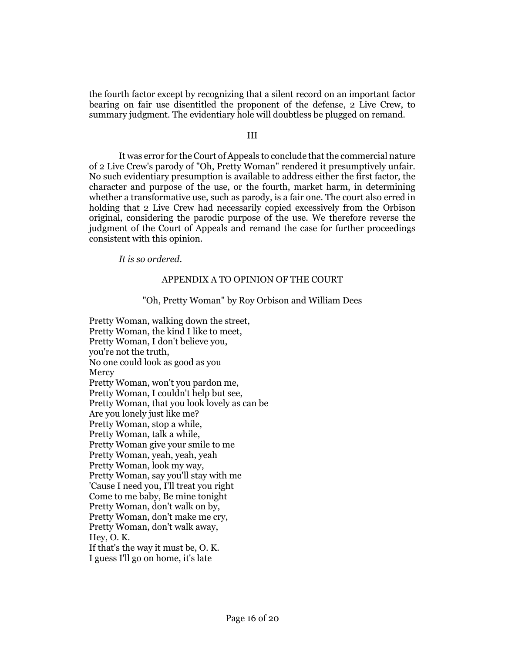the fourth factor except by recognizing that a silent record on an important factor bearing on fair use disentitled the proponent of the defense, 2 Live Crew, to summary judgment. The evidentiary hole will doubtless be plugged on remand.

# III

It was error for the Court of Appeals to conclude that the commercial nature of 2 Live Crew's parody of "Oh, Pretty Woman" rendered it presumptively unfair. No such evidentiary presumption is available to address either the first factor, the character and purpose of the use, or the fourth, market harm, in determining whether a transformative use, such as parody, is a fair one. The court also erred in holding that 2 Live Crew had necessarily copied excessively from the Orbison original, considering the parodic purpose of the use. We therefore reverse the judgment of the Court of Appeals and remand the case for further proceedings consistent with this opinion.

*It is so ordered.*

#### APPENDIX A TO OPINION OF THE COURT

#### "Oh, Pretty Woman" by Roy Orbison and William Dees

Pretty Woman, walking down the street, Pretty Woman, the kind I like to meet, Pretty Woman, I don't believe you, you're not the truth, No one could look as good as you **Mercy** Pretty Woman, won't you pardon me, Pretty Woman, I couldn't help but see, Pretty Woman, that you look lovely as can be Are you lonely just like me? Pretty Woman, stop a while, Pretty Woman, talk a while, Pretty Woman give your smile to me Pretty Woman, yeah, yeah, yeah Pretty Woman, look my way, Pretty Woman, say you'll stay with me 'Cause I need you, I'll treat you right Come to me baby, Be mine tonight Pretty Woman, don't walk on by, Pretty Woman, don't make me cry, Pretty Woman, don't walk away, Hey, O. K. If that's the way it must be, O. K. I guess I'll go on home, it's late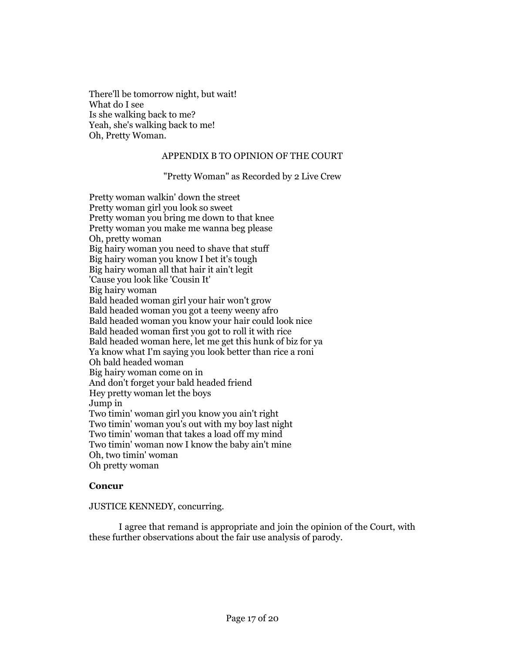There'll be tomorrow night, but wait! What do I see Is she walking back to me? Yeah, she's walking back to me! Oh, Pretty Woman.

# APPENDIX B TO OPINION OF THE COURT

## "Pretty Woman" as Recorded by 2 Live Crew

Pretty woman walkin' down the street Pretty woman girl you look so sweet Pretty woman you bring me down to that knee Pretty woman you make me wanna beg please Oh, pretty woman Big hairy woman you need to shave that stuff Big hairy woman you know I bet it's tough Big hairy woman all that hair it ain't legit 'Cause you look like 'Cousin It' Big hairy woman Bald headed woman girl your hair won't grow Bald headed woman you got a teeny weeny afro Bald headed woman you know your hair could look nice Bald headed woman first you got to roll it with rice Bald headed woman here, let me get this hunk of biz for ya Ya know what I'm saying you look better than rice a roni Oh bald headed woman Big hairy woman come on in And don't forget your bald headed friend Hey pretty woman let the boys Jump in Two timin' woman girl you know you ain't right Two timin' woman you's out with my boy last night Two timin' woman that takes a load off my mind Two timin' woman now I know the baby ain't mine Oh, two timin' woman Oh pretty woman

# **Concur**

JUSTICE KENNEDY, concurring.

I agree that remand is appropriate and join the opinion of the Court, with these further observations about the fair use analysis of parody.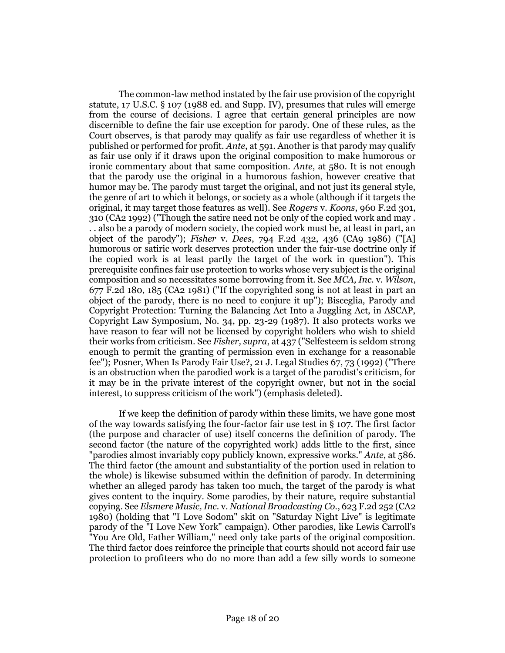The common-law method instated by the fair use provision of the copyright statute, 17 U.S.C. § 107 (1988 ed. and Supp. IV), presumes that rules will emerge from the course of decisions. I agree that certain general principles are now discernible to define the fair use exception for parody. One of these rules, as the Court observes, is that parody may qualify as fair use regardless of whether it is published or performed for profit. *Ante*, at 591. Another is that parody may qualify as fair use only if it draws upon the original composition to make humorous or ironic commentary about that same composition. *Ante*, at 580. It is not enough that the parody use the original in a humorous fashion, however creative that humor may be. The parody must target the original, and not just its general style, the genre of art to which it belongs, or society as a whole (although if it targets the original, it may target those features as well). See *Rogers* v. *Koons*, 960 F.2d 301, 310 (CA2 1992) ("Though the satire need not be only of the copied work and may . . . also be a parody of modern society, the copied work must be, at least in part, an object of the parody"); *Fisher* v. *Dees*, 794 F.2d 432, 436 (CA9 1986) ("[A] humorous or satiric work deserves protection under the fair-use doctrine only if the copied work is at least partly the target of the work in question"). This prerequisite confines fair use protection to works whose very subject is the original composition and so necessitates some borrowing from it. See *MCA, Inc.* v. *Wilson*, 677 F.2d 180, 185 (CA2 1981) ("If the copyrighted song is not at least in part an object of the parody, there is no need to conjure it up"); Bisceglia, Parody and Copyright Protection: Turning the Balancing Act Into a Juggling Act, in ASCAP, Copyright Law Symposium, No. 34, pp. 23-29 (1987). It also protects works we have reason to fear will not be licensed by copyright holders who wish to shield their works from criticism. See *Fisher, supra*, at 437 ("Selfesteem is seldom strong enough to permit the granting of permission even in exchange for a reasonable fee"); Posner, When Is Parody Fair Use?, 21 J. Legal Studies 67, 73 (1992) ("There is an obstruction when the parodied work is a target of the parodist's criticism, for it may be in the private interest of the copyright owner, but not in the social interest, to suppress criticism of the work") (emphasis deleted).

If we keep the definition of parody within these limits, we have gone most of the way towards satisfying the four-factor fair use test in § 107. The first factor (the purpose and character of use) itself concerns the definition of parody. The second factor (the nature of the copyrighted work) adds little to the first, since "parodies almost invariably copy publicly known, expressive works." *Ante*, at 586. The third factor (the amount and substantiality of the portion used in relation to the whole) is likewise subsumed within the definition of parody. In determining whether an alleged parody has taken too much, the target of the parody is what gives content to the inquiry. Some parodies, by their nature, require substantial copying. See *Elsmere Music, Inc.* v. *National Broadcasting Co.*, 623 F.2d 252 (CA2 1980) (holding that "I Love Sodom" skit on "Saturday Night Live" is legitimate parody of the "I Love New York" campaign). Other parodies, like Lewis Carroll's "You Are Old, Father William," need only take parts of the original composition. The third factor does reinforce the principle that courts should not accord fair use protection to profiteers who do no more than add a few silly words to someone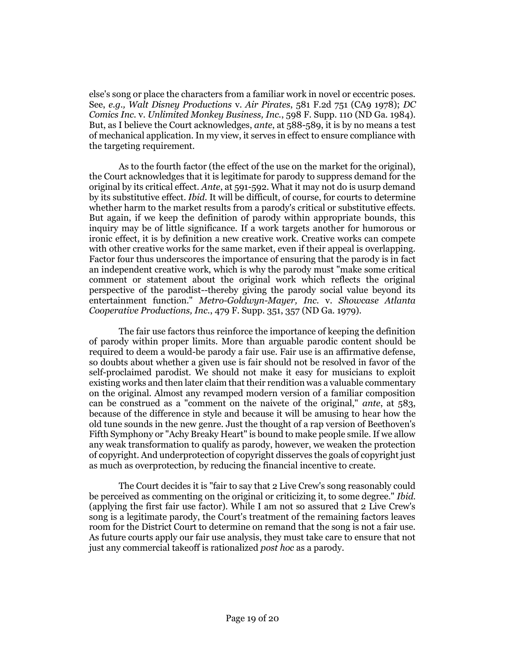else's song or place the characters from a familiar work in novel or eccentric poses. See, *e.g., Walt Disney Productions* v. *Air Pirates*, 581 F.2d 751 (CA9 1978); *DC Comics Inc.* v. *Unlimited Monkey Business, Inc.*, 598 F. Supp. 110 (ND Ga. 1984). But, as I believe the Court acknowledges, *ante*, at 588-589, it is by no means a test of mechanical application. In my view, it serves in effect to ensure compliance with the targeting requirement.

As to the fourth factor (the effect of the use on the market for the original), the Court acknowledges that it is legitimate for parody to suppress demand for the original by its critical effect. *Ante*, at 591-592. What it may not do is usurp demand by its substitutive effect. *Ibid.* It will be difficult, of course, for courts to determine whether harm to the market results from a parody's critical or substitutive effects. But again, if we keep the definition of parody within appropriate bounds, this inquiry may be of little significance. If a work targets another for humorous or ironic effect, it is by definition a new creative work. Creative works can compete with other creative works for the same market, even if their appeal is overlapping. Factor four thus underscores the importance of ensuring that the parody is in fact an independent creative work, which is why the parody must "make some critical comment or statement about the original work which reflects the original perspective of the parodist--thereby giving the parody social value beyond its entertainment function." *Metro-Goldwyn-Mayer, Inc.* v. *Showcase Atlanta Cooperative Productions, Inc.*, 479 F. Supp. 351, 357 (ND Ga. 1979).

The fair use factors thus reinforce the importance of keeping the definition of parody within proper limits. More than arguable parodic content should be required to deem a would-be parody a fair use. Fair use is an affirmative defense, so doubts about whether a given use is fair should not be resolved in favor of the self-proclaimed parodist. We should not make it easy for musicians to exploit existing works and then later claim that their rendition was a valuable commentary on the original. Almost any revamped modern version of a familiar composition can be construed as a "comment on the naivete of the original," *ante*, at 583, because of the difference in style and because it will be amusing to hear how the old tune sounds in the new genre. Just the thought of a rap version of Beethoven's Fifth Symphony or "Achy Breaky Heart" is bound to make people smile. If we allow any weak transformation to qualify as parody, however, we weaken the protection of copyright. And underprotection of copyright disserves the goals of copyright just as much as overprotection, by reducing the financial incentive to create.

The Court decides it is "fair to say that 2 Live Crew's song reasonably could be perceived as commenting on the original or criticizing it, to some degree." *Ibid.* (applying the first fair use factor). While I am not so assured that 2 Live Crew's song is a legitimate parody, the Court's treatment of the remaining factors leaves room for the District Court to determine on remand that the song is not a fair use. As future courts apply our fair use analysis, they must take care to ensure that not just any commercial takeoff is rationalized *post hoc* as a parody.